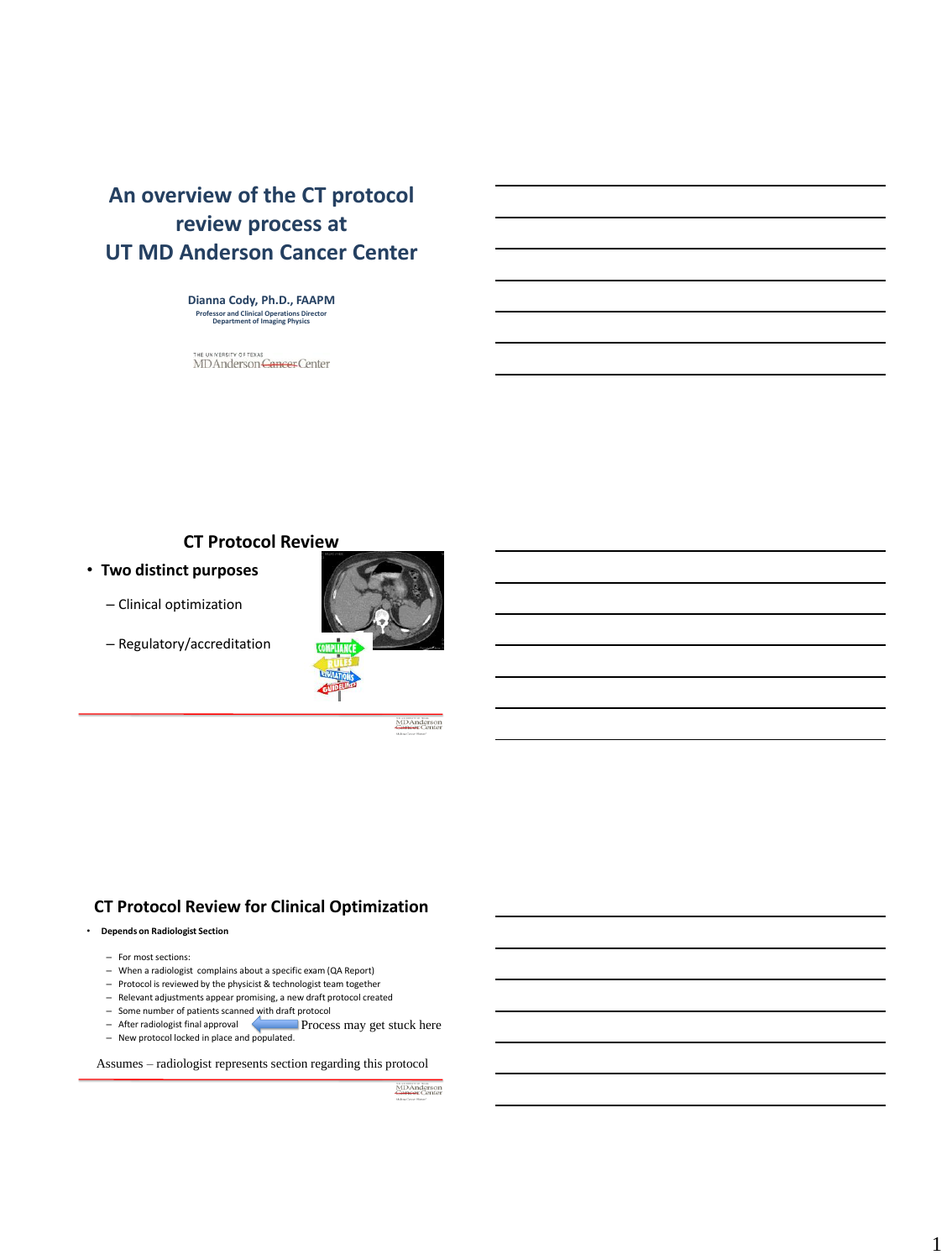# **An overview of the CT protocol review process at UT MD Anderson Cancer Center**

**Dianna Cody, Ph.D., FAAPM Professor and Clinical Operations Director Department of Imaging Physics**

THE UNIVERSITY OF TEXAS<br>MD Anderson <del>Cancer</del> Center

## **CT Protocol Review**

- **Two distinct purposes**
	- Clinical optimization
	- Regulatory/accreditation



MDAnderson<br>Cancer Center

## **CT Protocol Review for Clinical Optimization**

### • **Depends on Radiologist Section**

- For most sections:
- When a radiologist complains about a specific exam (QA Report)
- Protocol is reviewed by the physicist & technologist team together
- Relevant adjustments appear promising, a new draft protocol created
- 
- Some number of patients scanned with draft protocol After radiologist final approval New protocol locked in place and populated. **Process may get stuck here**

Assumes – radiologist represents section regarding this protocol

MDAnderson<br>Cancer Center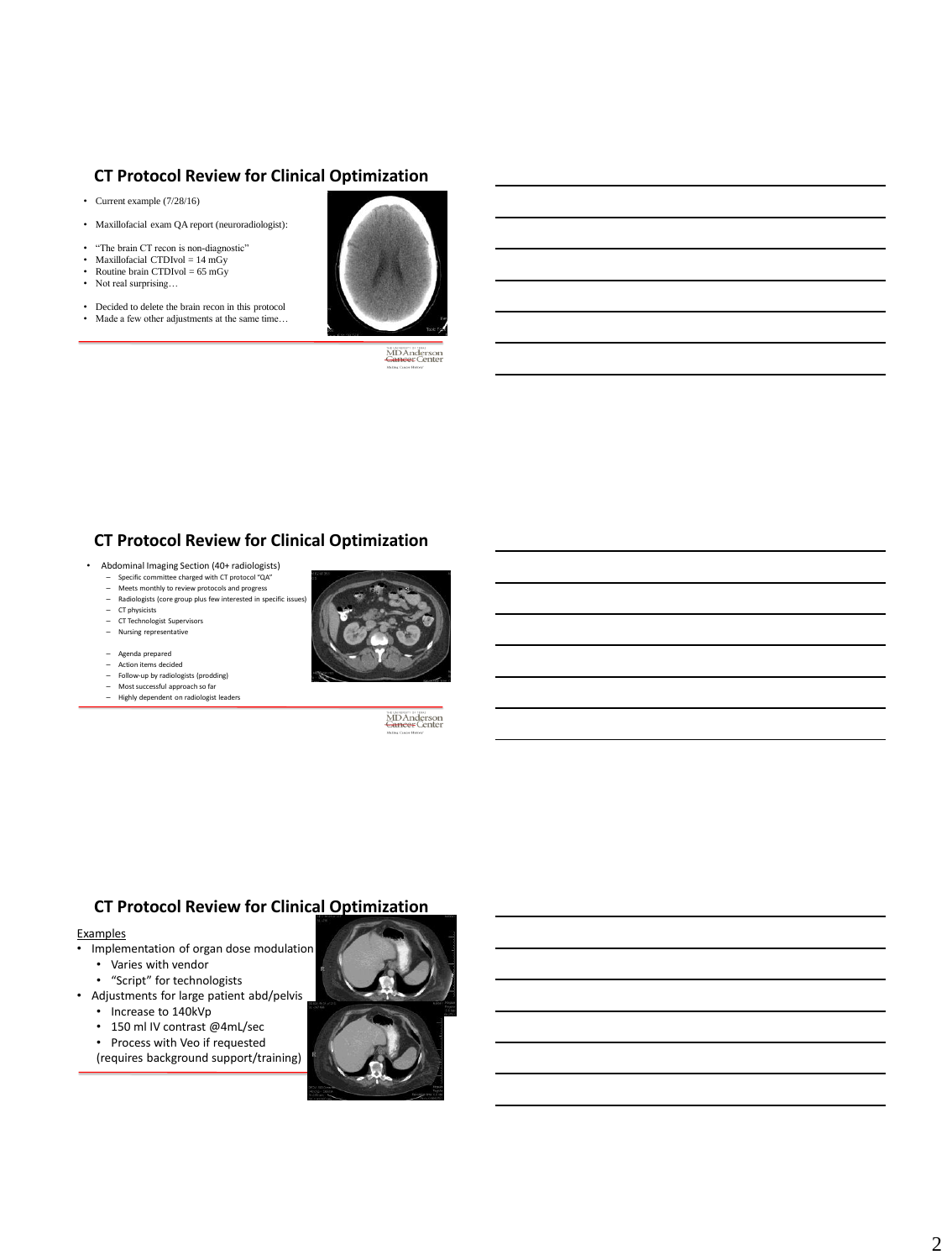# **CT Protocol Review for Clinical Optimization**

- Current example (7/28/16)
- Maxillofacial exam QA report (neuroradiologist):
- "The brain CT recon is non-diagnostic"<br>• Maxillofacial CTDIvol =  $14 \text{ mGv}$
- Maxillofacial CTDIvol =  $14 \text{ mGy}$ • Routine brain CTDIvol = 65 mGy
- Not real surprising...
- Decided to delete the brain recon in this protocol
- Made a few other adjustments at the same time...



**MDAnderson**<br>**Gancer** Center

# **CT Protocol Review for Clinical Optimization**

- Abdominal Imaging Section (40+ radiologists)
	- Specific committee charged with CT protocol "QA"
	- Meets monthly to review protocols and progress  $-$  Radiologists (core group plus few interested in specific is
	- CT physicists
	- CT Technologist Supervisors
	- Nursing representative
	- Agenda prepared Action items decided
	-
	- Follow-up by radiologists (prodding) Most successful approach so far
	- Highly dependent on radiologist leaders



**MDAnderson**<br>**Gancer** Center

## **CT Protocol Review for Clinical Optimization**

# Examples<br>• Implem

- Implementation of organ dose modulation
	- Varies with vendor
	- "Script" for technologists
- Adjustments for large patient abd/pelvis
	- Increase to 140kVp
	- 150 ml IV contrast @4mL/sec
	- Process with Veo if requested
	- (requires background support/training)

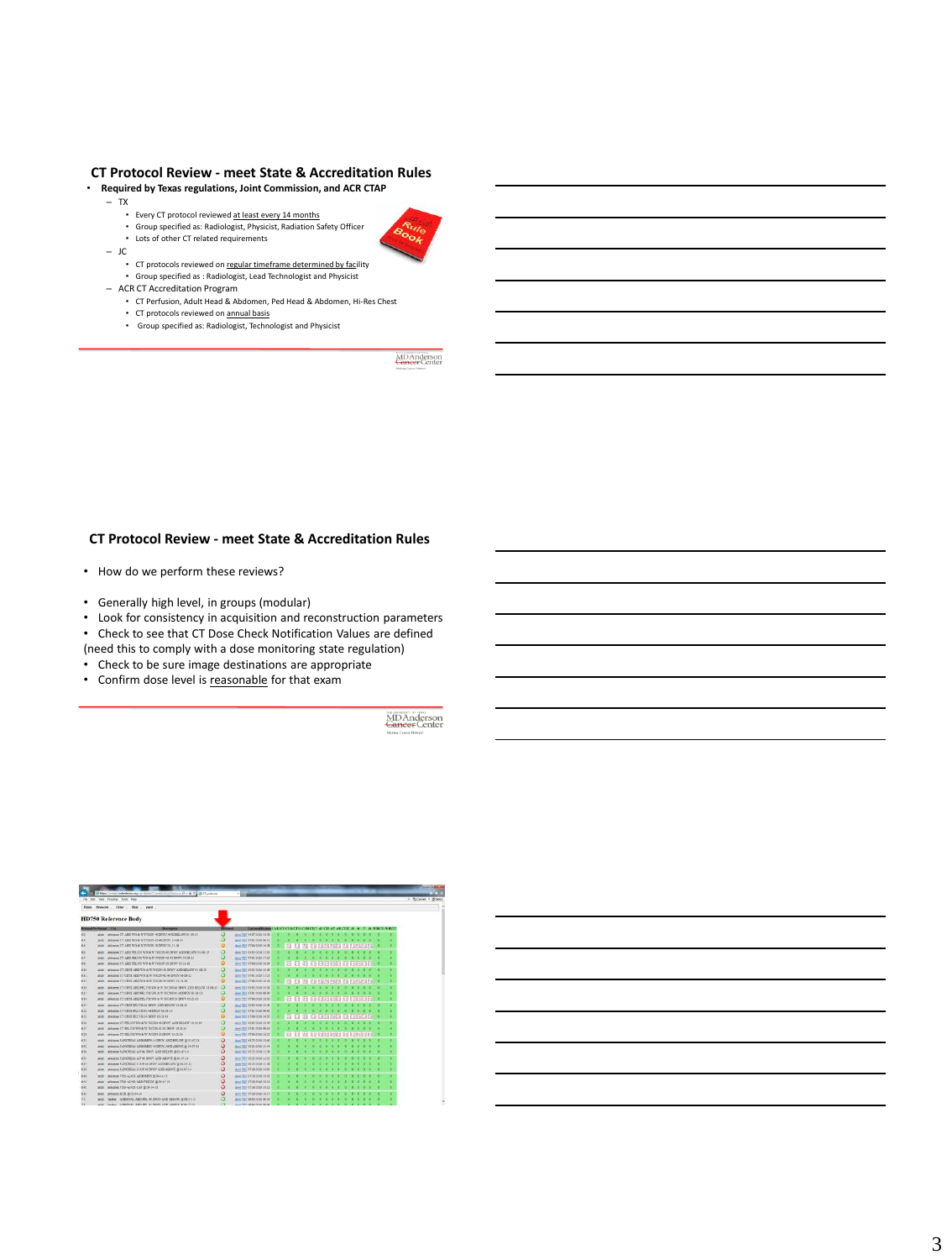## **CT Protocol Review - meet State & Accreditation Rules**

• **Required by Texas regulations, Joint Commission, and ACR CTAP**

- TX
	-
	- Every CT protocol reviewed at least every 14 months Group specified as: Radiologist, Physicist, Radiation Safety Officer
	- Lots of other CT related requirements
- JC
	- CT protocols reviewed on regular timeframe determined by facility
	- Group specified as : Radiologist, Lead Technologist and Physicist
- ACR CT Accreditation Program
	- CT Perfusion, Adult Head & Abdomen, Ped Head & Abdomen, Hi-Res Chest
	- CT protocols reviewed on annual basis
	- Group specified as: Radiologist, Technologist and Physicist

**MDAnderson**<br>Cancer Center

b.

## **CT Protocol Review - meet State & Accreditation Rules**

- How do we perform these reviews?
- Generally high level, in groups (modular)
- Look for consistency in acquisition and reconstruction parameters
- Check to see that CT Dose Check Notification Values are defined (need this to comply with a dose monitoring state regulation)
- Check to be sure image destinations are appropriate
- Confirm dose level is reasonable for that exam

MDAnderson<br>Gancer Center

|             | Fig. EST Very Funditur. Tools: Help                                         |          |                                                       |  |  |  |  |  |                                     |  |                     |
|-------------|-----------------------------------------------------------------------------|----------|-------------------------------------------------------|--|--|--|--|--|-------------------------------------|--|---------------------|
| <b>Hans</b> | Prescok - Other - Belp - gazet -                                            |          |                                                       |  |  |  |  |  |                                     |  |                     |
|             | <b>HD750 Reference Body</b>                                                 |          |                                                       |  |  |  |  |  |                                     |  |                     |
|             | Presentat Ny Partison   Can<br><b>Bearings</b>                              |          | East smallbanks CARLET CT14 CT15 CT14 CT17 (42 CT3 of |  |  |  |  |  |                                     |  | <b>TERROR WHICH</b> |
| 62          | adult 49 AND THE UP ON HIS WIFE WAS CITED AND INVESTIGATION. INVESTIGATION  |          | (box PDF 04/27/2018 19:18)                            |  |  |  |  |  |                                     |  |                     |
| 63          | 896mm CT ABD WD at IT INCON 43-DEPOS \$1-48-13<br>schule.                   |          | (ben TCT 9791 0016 08:31)                             |  |  |  |  |  |                                     |  |                     |
|             | ANGEMENT AND WO & IN IN DON'TH DINNY 05-21-14<br>abdi                       |          | short PSIP 07/06/2018 18:18                           |  |  |  |  |  | <b>PRINSIPARA PE PERSONAL SINA</b>  |  |                     |
|             | 456 elect 10 ASD PELVIS WO & W IN DON 40 DEOV, AND BELOW 11:08-21<br>and it | $\circ$  | Here PDF 46 03100 13.50                               |  |  |  |  |  |                                     |  | ٠                   |
| <b>AT</b>   | ANAHAN CT AREN'N THIS A WINDOW (2.48 DECY \$1.06.25)<br>and .               | o        | sheet 2012 07/01/2010 17:23                           |  |  |  |  |  |                                     |  | ٠                   |
| 48.         | ablogates CT ABD PELVIS WO & W INCON SEZEOV 05-21-16<br>shat:               |          | show PEIP 97/06/2010 16:19                            |  |  |  |  |  |                                     |  | ٠                   |
| 638         | shit!                                                                       | а        | (ben 707-8545-3936 1818)                              |  |  |  |  |  |                                     |  |                     |
| 833         | shower CT CHIT ABD TO & W IVCON 42-48 DPOT 31-08-13<br>abd.                 |          | sheet 2522 07101 2010 17:03                           |  |  |  |  |  |                                     |  |                     |
|             | abdomes CT CHST ABD WO & W INDON 53 DERIVED-21-18<br>abit.                  |          | sher: FDF 97/66/2018 16:19                            |  |  |  |  |  | agos agos ag avasadas e de          |  |                     |
|             | 4Nem CT CHST ABD PELVIS WIRE N TVCON 45 DROV AND BELOW ELGE-TS<br>and:      |          | short PDF 03 85 2010 19:19                            |  |  |  |  |  |                                     |  |                     |
|             | abbains CT CHYT ARD PELVIS SO/A W IVESN O-44 DEOU 61:08-15<br>in a          | $\circ$  | plan PDF 07/01/2010 09:36                             |  |  |  |  |  |                                     |  |                     |
|             | ableum CT CHST AND PELVIS WO & W IVCON SEDINVIS-25.16<br>abd:               |          | Www.7537.03.06/3038.18:20                             |  |  |  |  |  | <b>Daltze belge be bettelbeball</b> |  | ٠                   |
|             | shower CT CRET RD 535AR DRIVE AND BELOW III OE 15<br>advalv-                | o        | sheet FOP 05 01:3036 SR 10                            |  |  |  |  |  |                                     |  | ٠                   |
|             | shipman, CT CHILT 092,526 (2.48 DPOS) 83.06.03.<br>shirt.                   |          | share FEIT 07/41 3038-08-40                           |  |  |  |  |  |                                     |  |                     |
|             | ANGHAM CT CHIST PELSIS 38 DEDICAT-21-16<br><b>MA</b>                        |          | sher: FOF 47 66 2014 18:20                            |  |  |  |  |  | bu cybscops                         |  | ٠                   |
|             | abbase CT REATS TO A W INCON 40 DROV AND RELOW 10-20-14<br>MAT.             | $\Omega$ | (best FCP 36/45/2009 10:19)                           |  |  |  |  |  |                                     |  |                     |
|             | abdowns CT PELYIS 900-B W IVOIDS 42-18 DEOU 10-24-14<br>what:               |          | MAN POP 97/81/2016 08:44                              |  |  |  |  |  |                                     |  |                     |
|             | ebloom CT PELVIS WO & W IVCON 30 DHOV 05:21-56<br>abd:                      |          | show PCP 07/86/2018 18:21                             |  |  |  |  |  | adadedad ar artistosan              |  |                     |
|             | SHOWN PASSERLAS ASDOMEN 44 DPOV AND BELOW III 03-07-14<br>shit:             | ٥        | than 700 05 25 26 30 10:40                            |  |  |  |  |  |                                     |  |                     |
| 633         | abdones PANCREAS AEDOREEN 41 DEOU AND ABOVE @ 11-05-14<br>MAR.              | ٥        | sher: 202 03:33:3339 12:34                            |  |  |  |  |  |                                     |  |                     |
|             | IRROR FANCISEAS A P 44 DPOV AND SELON IS OUT-17-14<br>and:                  | ٥        | (64m FOF 03/25/2020 13:16)                            |  |  |  |  |  |                                     |  |                     |
|             | shows FINDERAS A F to DPOV AND AROUT @ \$1.07.16<br>ship:                   | о        | MAN POP 05/25/2009 22:01                              |  |  |  |  |  |                                     |  |                     |
|             | abdomes PAINTREAS C IL F 44 DPOV AND SELON' @ \$1.01.14<br>adult:           | о        | deed PCIP 09/24/2014 15:18                            |  |  |  |  |  |                                     |  |                     |
|             | abbones PANCREAS CIA P as DPOU AND ABONE @ 05.87.14<br>and .                | ٥        | steel PDF 07/38/3016 18:00                            |  |  |  |  |  |                                     |  |                     |
|             | shoppes VIO A2428 ARDOMEN @ 86-14-13<br>shake.                              | ö        | sheet FDF 47 08:3038 18:00                            |  |  |  |  |  |                                     |  | ٠                   |
|             | aldones VEO AT KH ARD PELVIS in the LK CL<br>Mar.                           | ٥        | (hen 202 47 08 3008 18 ET                             |  |  |  |  |  |                                     |  |                     |
|             | shopped V2O-A2 (28 CAP @ 06-34-13)<br>abut:                                 | ە        | plant FOR 97 08 2010 18 12                            |  |  |  |  |  |                                     |  |                     |
| 642<br>4.45 | abbene \$3.5 @ 03.84.14<br>abilit                                           | o        | short FDF 97/38/2010 10:17                            |  |  |  |  |  |                                     |  |                     |
|             | MAN ADREVAL ARD REL 40 DRIV AND BELOW Q 08 27 25                            |          | (6m) 7CF 06 84 30 16 (8 14)                           |  |  |  |  |  |                                     |  |                     |
|             | Tender - ADRIVAL AND PELATOROG AND ANOUX IN 06,17,111<br>sales.             |          | <b>Average As to chine in the</b>                     |  |  |  |  |  |                                     |  |                     |

## 3